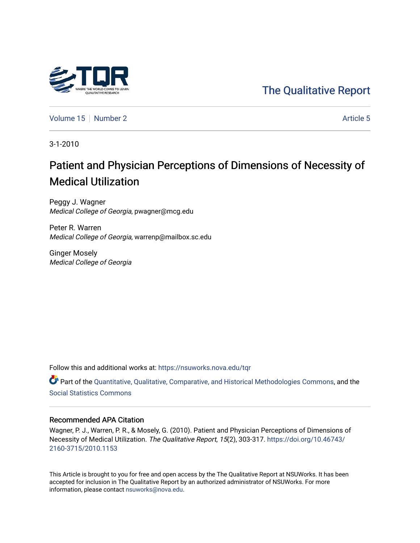## [The Qualitative Report](https://nsuworks.nova.edu/tqr)

[Volume 15](https://nsuworks.nova.edu/tqr/vol15) [Number 2](https://nsuworks.nova.edu/tqr/vol15/iss2) [Article 5](https://nsuworks.nova.edu/tqr/vol15/iss2/5) Article 5

3-1-2010

# Patient and Physician Perceptions of Dimensions of Necessity of Medical Utilization

Peggy J. Wagner Medical College of Georgia, pwagner@mcg.edu

Peter R. Warren Medical College of Georgia, warrenp@mailbox.sc.edu

Ginger Mosely Medical College of Georgia

Follow this and additional works at: [https://nsuworks.nova.edu/tqr](https://nsuworks.nova.edu/tqr?utm_source=nsuworks.nova.edu%2Ftqr%2Fvol15%2Fiss2%2F5&utm_medium=PDF&utm_campaign=PDFCoverPages) 

Part of the [Quantitative, Qualitative, Comparative, and Historical Methodologies Commons,](http://network.bepress.com/hgg/discipline/423?utm_source=nsuworks.nova.edu%2Ftqr%2Fvol15%2Fiss2%2F5&utm_medium=PDF&utm_campaign=PDFCoverPages) and the [Social Statistics Commons](http://network.bepress.com/hgg/discipline/1275?utm_source=nsuworks.nova.edu%2Ftqr%2Fvol15%2Fiss2%2F5&utm_medium=PDF&utm_campaign=PDFCoverPages) 

#### Recommended APA Citation

Wagner, P. J., Warren, P. R., & Mosely, G. (2010). Patient and Physician Perceptions of Dimensions of Necessity of Medical Utilization. The Qualitative Report, 15(2), 303-317. [https://doi.org/10.46743/](https://doi.org/10.46743/2160-3715/2010.1153) [2160-3715/2010.1153](https://doi.org/10.46743/2160-3715/2010.1153)

This Article is brought to you for free and open access by the The Qualitative Report at NSUWorks. It has been accepted for inclusion in The Qualitative Report by an authorized administrator of NSUWorks. For more information, please contact [nsuworks@nova.edu.](mailto:nsuworks@nova.edu)

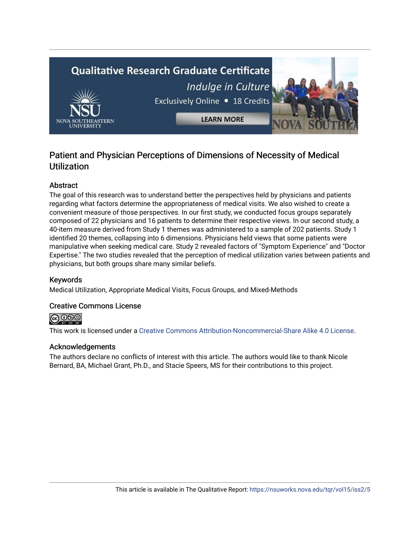# **Qualitative Research Graduate Certificate** Indulge in Culture Exclusively Online . 18 Credits **LEARN MORE**

## Patient and Physician Perceptions of Dimensions of Necessity of Medical Utilization

#### Abstract

The goal of this research was to understand better the perspectives held by physicians and patients regarding what factors determine the appropriateness of medical visits. We also wished to create a convenient measure of those perspectives. In our first study, we conducted focus groups separately composed of 22 physicians and 16 patients to determine their respective views. In our second study, a 40-item measure derived from Study 1 themes was administered to a sample of 202 patients. Study 1 identified 20 themes, collapsing into 6 dimensions. Physicians held views that some patients were manipulative when seeking medical care. Study 2 revealed factors of "Symptom Experience" and "Doctor Expertise." The two studies revealed that the perception of medical utilization varies between patients and physicians, but both groups share many similar beliefs.

#### Keywords

Medical Utilization, Appropriate Medical Visits, Focus Groups, and Mixed-Methods

#### Creative Commons License

**@** 000

This work is licensed under a [Creative Commons Attribution-Noncommercial-Share Alike 4.0 License](https://creativecommons.org/licenses/by-nc-sa/4.0/).

#### Acknowledgements

The authors declare no conflicts of interest with this article. The authors would like to thank Nicole Bernard, BA, Michael Grant, Ph.D., and Stacie Speers, MS for their contributions to this project.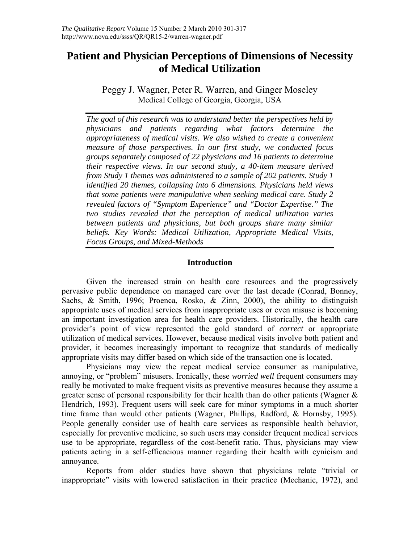## **Patient and Physician Perceptions of Dimensions of Necessity of Medical Utilization**

Peggy J. Wagner, Peter R. Warren, and Ginger Moseley Medical College of Georgia, Georgia, USA

*The goal of this research was to understand better the perspectives held by physicians and patients regarding what factors determine the appropriateness of medical visits. We also wished to create a convenient measure of those perspectives. In our first study, we conducted focus groups separately composed of 22 physicians and 16 patients to determine their respective views. In our second study, a 40-item measure derived from Study 1 themes was administered to a sample of 202 patients. Study 1 identified 20 themes, collapsing into 6 dimensions. Physicians held views that some patients were manipulative when seeking medical care. Study 2 revealed factors of "Symptom Experience" and "Doctor Expertise." The two studies revealed that the perception of medical utilization varies between patients and physicians, but both groups share many similar beliefs. Key Words: Medical Utilization, Appropriate Medical Visits, Focus Groups, and Mixed-Methods* 

#### **Introduction**

Given the increased strain on health care resources and the progressively pervasive public dependence on managed care over the last decade (Conrad, Bonney, Sachs, & Smith, 1996; Proenca, Rosko, & Zinn, 2000), the ability to distinguish appropriate uses of medical services from inappropriate uses or even misuse is becoming an important investigation area for health care providers. Historically, the health care provider's point of view represented the gold standard of *correct* or appropriate utilization of medical services. However, because medical visits involve both patient and provider, it becomes increasingly important to recognize that standards of medically appropriate visits may differ based on which side of the transaction one is located.

Physicians may view the repeat medical service consumer as manipulative, annoying, or "problem" misusers. Ironically, these *worried well* frequent consumers may really be motivated to make frequent visits as preventive measures because they assume a greater sense of personal responsibility for their health than do other patients (Wagner & Hendrich, 1993). Frequent users will seek care for minor symptoms in a much shorter time frame than would other patients (Wagner, Phillips, Radford, & Hornsby, 1995). People generally consider use of health care services as responsible health behavior, especially for preventive medicine, so such users may consider frequent medical services use to be appropriate, regardless of the cost-benefit ratio. Thus, physicians may view patients acting in a self-efficacious manner regarding their health with cynicism and annoyance.

 Reports from older studies have shown that physicians relate "trivial or inappropriate" visits with lowered satisfaction in their practice (Mechanic, 1972), and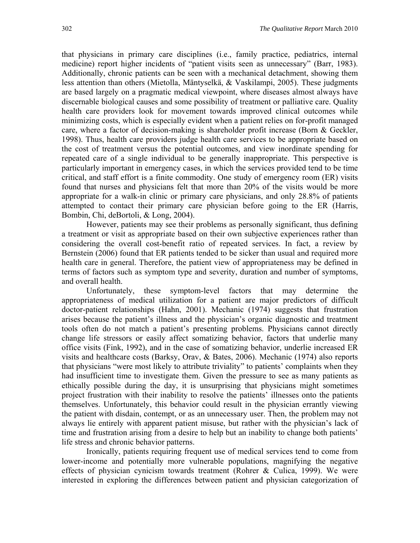that physicians in primary care disciplines (i.e., family practice, pediatrics, internal medicine) report higher incidents of "patient visits seen as unnecessary" (Barr, 1983). Additionally, chronic patients can be seen with a mechanical detachment, showing them less attention than others (Mietolla, Mäntyselkä, & Vaskilampi, 2005). These judgments are based largely on a pragmatic medical viewpoint, where diseases almost always have discernable biological causes and some possibility of treatment or palliative care. Quality health care providers look for movement towards improved clinical outcomes while minimizing costs, which is especially evident when a patient relies on for-profit managed care, where a factor of decision-making is shareholder profit increase (Born & Geckler, 1998). Thus, health care providers judge health care services to be appropriate based on the cost of treatment versus the potential outcomes, and view inordinate spending for repeated care of a single individual to be generally inappropriate. This perspective is particularly important in emergency cases, in which the services provided tend to be time critical, and staff effort is a finite commodity. One study of emergency room (ER) visits found that nurses and physicians felt that more than 20% of the visits would be more appropriate for a walk-in clinic or primary care physicians, and only 28.8% of patients attempted to contact their primary care physician before going to the ER (Harris, Bombin, Chi, deBortoli, & Long, 2004).

However, patients may see their problems as personally significant, thus defining a treatment or visit as appropriate based on their own subjective experiences rather than considering the overall cost-benefit ratio of repeated services. In fact, a review by Bernstein (2006) found that ER patients tended to be sicker than usual and required more health care in general. Therefore, the patient view of appropriateness may be defined in terms of factors such as symptom type and severity, duration and number of symptoms, and overall health.

 Unfortunately, these symptom-level factors that may determine the appropriateness of medical utilization for a patient are major predictors of difficult doctor-patient relationships (Hahn, 2001). Mechanic (1974) suggests that frustration arises because the patient's illness and the physician's organic diagnostic and treatment tools often do not match a patient's presenting problems. Physicians cannot directly change life stressors or easily affect somatizing behavior, factors that underlie many office visits (Fink, 1992), and in the case of somatizing behavior, underlie increased ER visits and healthcare costs (Barksy, Orav, & Bates, 2006). Mechanic (1974) also reports that physicians "were most likely to attribute triviality" to patients' complaints when they had insufficient time to investigate them. Given the pressure to see as many patients as ethically possible during the day, it is unsurprising that physicians might sometimes project frustration with their inability to resolve the patients' illnesses onto the patients themselves. Unfortunately, this behavior could result in the physician errantly viewing the patient with disdain, contempt, or as an unnecessary user. Then, the problem may not always lie entirely with apparent patient misuse, but rather with the physician's lack of time and frustration arising from a desire to help but an inability to change both patients' life stress and chronic behavior patterns.

 Ironically, patients requiring frequent use of medical services tend to come from lower-income and potentially more vulnerable populations, magnifying the negative effects of physician cynicism towards treatment (Rohrer & Culica, 1999). We were interested in exploring the differences between patient and physician categorization of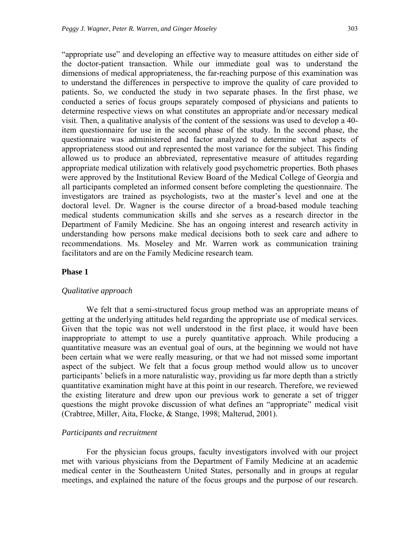"appropriate use" and developing an effective way to measure attitudes on either side of the doctor-patient transaction. While our immediate goal was to understand the dimensions of medical appropriateness, the far-reaching purpose of this examination was to understand the differences in perspective to improve the quality of care provided to patients. So, we conducted the study in two separate phases. In the first phase, we conducted a series of focus groups separately composed of physicians and patients to determine respective views on what constitutes an appropriate and/or necessary medical visit. Then, a qualitative analysis of the content of the sessions was used to develop a 40 item questionnaire for use in the second phase of the study. In the second phase, the questionnaire was administered and factor analyzed to determine what aspects of appropriateness stood out and represented the most variance for the subject. This finding allowed us to produce an abbreviated, representative measure of attitudes regarding appropriate medical utilization with relatively good psychometric properties. Both phases were approved by the Institutional Review Board of the Medical College of Georgia and all participants completed an informed consent before completing the questionnaire. The investigators are trained as psychologists, two at the master's level and one at the doctoral level. Dr. Wagner is the course director of a broad-based module teaching medical students communication skills and she serves as a research director in the Department of Family Medicine. She has an ongoing interest and research activity in understanding how persons make medical decisions both to seek care and adhere to recommendations. Ms. Moseley and Mr. Warren work as communication training facilitators and are on the Family Medicine research team.

#### **Phase 1**

#### *Qualitative approach*

We felt that a semi-structured focus group method was an appropriate means of getting at the underlying attitudes held regarding the appropriate use of medical services. Given that the topic was not well understood in the first place, it would have been inappropriate to attempt to use a purely quantitative approach. While producing a quantitative measure was an eventual goal of ours, at the beginning we would not have been certain what we were really measuring, or that we had not missed some important aspect of the subject. We felt that a focus group method would allow us to uncover participants' beliefs in a more naturalistic way, providing us far more depth than a strictly quantitative examination might have at this point in our research. Therefore, we reviewed the existing literature and drew upon our previous work to generate a set of trigger questions the might provoke discussion of what defines an "appropriate" medical visit (Crabtree, Miller, Aita, Flocke, & Stange, 1998; Malterud, 2001).

#### *Participants and recruitment*

For the physician focus groups, faculty investigators involved with our project met with various physicians from the Department of Family Medicine at an academic medical center in the Southeastern United States, personally and in groups at regular meetings, and explained the nature of the focus groups and the purpose of our research.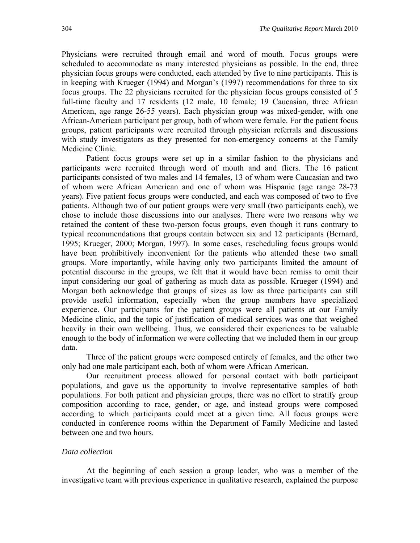Physicians were recruited through email and word of mouth. Focus groups were scheduled to accommodate as many interested physicians as possible. In the end, three physician focus groups were conducted, each attended by five to nine participants. This is in keeping with Krueger (1994) and Morgan's (1997) recommendations for three to six focus groups. The 22 physicians recruited for the physician focus groups consisted of 5 full-time faculty and 17 residents (12 male, 10 female; 19 Caucasian, three African American, age range 26-55 years). Each physician group was mixed-gender, with one African-American participant per group, both of whom were female. For the patient focus groups, patient participants were recruited through physician referrals and discussions with study investigators as they presented for non-emergency concerns at the Family Medicine Clinic.

Patient focus groups were set up in a similar fashion to the physicians and participants were recruited through word of mouth and and fliers. The 16 patient participants consisted of two males and 14 females, 13 of whom were Caucasian and two of whom were African American and one of whom was Hispanic (age range 28-73 years). Five patient focus groups were conducted, and each was composed of two to five patients. Although two of our patient groups were very small (two participants each), we chose to include those discussions into our analyses. There were two reasons why we retained the content of these two-person focus groups, even though it runs contrary to typical recommendations that groups contain between six and 12 participants (Bernard, 1995; Krueger, 2000; Morgan, 1997). In some cases, rescheduling focus groups would have been prohibitively inconvenient for the patients who attended these two small groups. More importantly, while having only two participants limited the amount of potential discourse in the groups, we felt that it would have been remiss to omit their input considering our goal of gathering as much data as possible. Krueger (1994) and Morgan both acknowledge that groups of sizes as low as three participants can still provide useful information, especially when the group members have specialized experience. Our participants for the patient groups were all patients at our Family Medicine clinic, and the topic of justification of medical services was one that weighed heavily in their own wellbeing. Thus, we considered their experiences to be valuable enough to the body of information we were collecting that we included them in our group data.

Three of the patient groups were composed entirely of females, and the other two only had one male participant each, both of whom were African American.

Our recruitment process allowed for personal contact with both participant populations, and gave us the opportunity to involve representative samples of both populations. For both patient and physician groups, there was no effort to stratify group composition according to race, gender, or age, and instead groups were composed according to which participants could meet at a given time. All focus groups were conducted in conference rooms within the Department of Family Medicine and lasted between one and two hours.

#### *Data collection*

At the beginning of each session a group leader, who was a member of the investigative team with previous experience in qualitative research, explained the purpose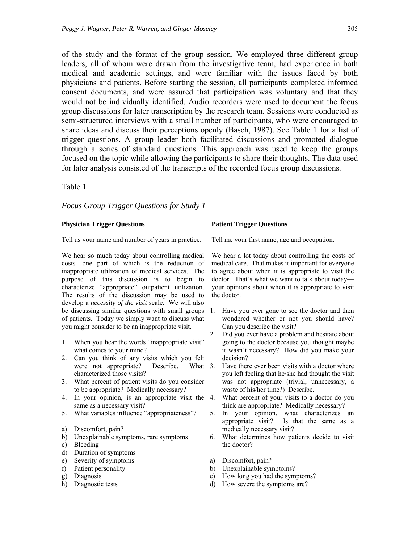of the study and the format of the group session. We employed three different group leaders, all of whom were drawn from the investigative team, had experience in both medical and academic settings, and were familiar with the issues faced by both physicians and patients. Before starting the session, all participants completed informed consent documents, and were assured that participation was voluntary and that they would not be individually identified. Audio recorders were used to document the focus group discussions for later transcription by the research team. Sessions were conducted as semi-structured interviews with a small number of participants, who were encouraged to share ideas and discuss their perceptions openly (Basch, 1987). See Table 1 for a list of trigger questions. A group leader both facilitated discussions and promoted dialogue through a series of standard questions. This approach was used to keep the groups focused on the topic while allowing the participants to share their thoughts. The data used for later analysis consisted of the transcripts of the recorded focus group discussions.

#### Table 1

| <b>Physician Trigger Questions</b>                   | <b>Patient Trigger Questions</b>                                  |
|------------------------------------------------------|-------------------------------------------------------------------|
|                                                      |                                                                   |
| Tell us your name and number of years in practice.   | Tell me your first name, age and occupation.                      |
|                                                      |                                                                   |
| We hear so much today about controlling medical      | We hear a lot today about controlling the costs of                |
| costs—one part of which is the reduction of          | medical care. That makes it important for everyone                |
| inappropriate utilization of medical services. The   | to agree about when it is appropriate to visit the                |
| purpose of this discussion is to begin to            | doctor. That's what we want to talk about today—                  |
| characterize "appropriate" outpatient utilization.   | your opinions about when it is appropriate to visit               |
| The results of the discussion may be used to         | the doctor.                                                       |
| develop a necessity of the visit scale. We will also |                                                                   |
| be discussing similar questions with small groups    | Have you ever gone to see the doctor and then<br>1.               |
| of patients. Today we simply want to discuss what    | wondered whether or not you should have?                          |
| you might consider to be an inappropriate visit.     | Can you describe the visit?                                       |
|                                                      | Did you ever have a problem and hesitate about<br>2.              |
| When you hear the words "inappropriate visit"<br>1.  | going to the doctor because you thought maybe                     |
| what comes to your mind?                             | it wasn't necessary? How did you make your                        |
| Can you think of any visits which you felt<br>2.     | decision?                                                         |
| were not appropriate?<br>Describe.<br>What           | Have there ever been visits with a doctor where<br>3 <sub>1</sub> |
| characterized those visits?                          | you left feeling that he/she had thought the visit                |
| What percent of patient visits do you consider<br>3. | was not appropriate (trivial, unnecessary, a                      |
| to be appropriate? Medically necessary?              | waste of his/her time?) Describe.                                 |
| In your opinion, is an appropriate visit the<br>4.   | What percent of your visits to a doctor do you<br>4.              |
| same as a necessary visit?                           | think are appropriate? Medically necessary?                       |
| What variables influence "appropriateness"?<br>5.    | In your opinion, what characterizes an<br>5.                      |
|                                                      | appropriate visit?<br>Is that the same as a                       |
| Discomfort, pain?<br>a)                              | medically necessary visit?                                        |
| Unexplainable symptoms, rare symptoms<br>b)          | What determines how patients decide to visit<br>6.                |
| Bleeding<br>$\mathbf{c})$                            | the doctor?                                                       |
| Duration of symptoms<br>d)                           |                                                                   |
| Severity of symptoms<br>e)<br>Patient personality    | Discomfort, pain?<br>a)                                           |
| f)<br>Diagnosis                                      | Unexplainable symptoms?<br>b)<br>How long you had the symptoms?   |
| g)                                                   | c)<br>d)                                                          |
| Diagnostic tests<br>h)                               | How severe the symptoms are?                                      |

*Focus Group Trigger Questions for Study 1*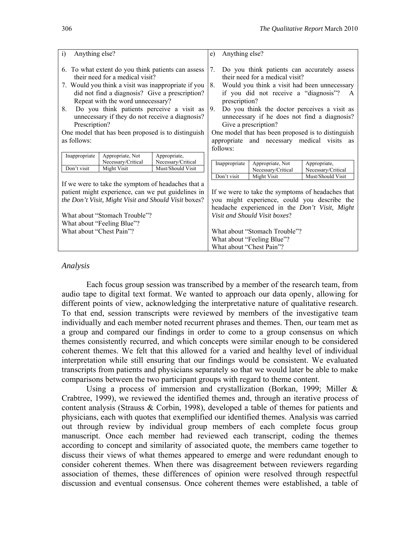| Anything else?<br>i)                                                                                                                                                                                                                                                                                                                                                                                                            |                                                      |                                                    | Anything else?<br>e)                                                                                                                                                                                                                                                                                                                                                                                                                         |                            |                                                               |  |
|---------------------------------------------------------------------------------------------------------------------------------------------------------------------------------------------------------------------------------------------------------------------------------------------------------------------------------------------------------------------------------------------------------------------------------|------------------------------------------------------|----------------------------------------------------|----------------------------------------------------------------------------------------------------------------------------------------------------------------------------------------------------------------------------------------------------------------------------------------------------------------------------------------------------------------------------------------------------------------------------------------------|----------------------------|---------------------------------------------------------------|--|
| 6. To what extent do you think patients can assess<br>their need for a medical visit?<br>7. Would you think a visit was inappropriate if you<br>did not find a diagnosis? Give a prescription?<br>Repeat with the word unnecessary?<br>Do you think patients perceive a visit as<br>8.<br>unnecessary if they do not receive a diagnosis?<br>Prescription?<br>One model that has been proposed is to distinguish<br>as follows: |                                                      |                                                    | 7.<br>Do you think patients can accurately assess<br>their need for a medical visit?<br>8.<br>Would you think a visit had been unnecessary<br>if you did not receive a "diagnosis"?<br>A<br>prescription?<br>Do you think the doctor perceives a visit as<br>9.<br>unnecessary if he does not find a diagnosis?<br>Give a prescription?<br>One model that has been proposed is to distinguish<br>appropriate and necessary medical visits as |                            |                                                               |  |
| Inappropriate                                                                                                                                                                                                                                                                                                                                                                                                                   | Appropriate, Not                                     | Appropriate,                                       | follows:                                                                                                                                                                                                                                                                                                                                                                                                                                     |                            |                                                               |  |
|                                                                                                                                                                                                                                                                                                                                                                                                                                 | Necessary/Critical                                   | Necessary/Critical                                 | Inappropriate                                                                                                                                                                                                                                                                                                                                                                                                                                | Appropriate, Not           | Appropriate,                                                  |  |
| Don't visit                                                                                                                                                                                                                                                                                                                                                                                                                     | Might Visit                                          | Must/Should Visit                                  |                                                                                                                                                                                                                                                                                                                                                                                                                                              | Necessary/Critical         | Necessary/Critical                                            |  |
|                                                                                                                                                                                                                                                                                                                                                                                                                                 |                                                      |                                                    | Don't visit                                                                                                                                                                                                                                                                                                                                                                                                                                  | Might Visit                | Must/Should Visit                                             |  |
|                                                                                                                                                                                                                                                                                                                                                                                                                                 | If we were to take the symptom of headaches that a   |                                                    |                                                                                                                                                                                                                                                                                                                                                                                                                                              |                            |                                                               |  |
|                                                                                                                                                                                                                                                                                                                                                                                                                                 |                                                      | patient might experience, can we put guidelines in |                                                                                                                                                                                                                                                                                                                                                                                                                                              |                            | If we were to take the symptoms of headaches that             |  |
|                                                                                                                                                                                                                                                                                                                                                                                                                                 | the Don't Visit, Might Visit and Should Visit boxes? |                                                    | you might experience, could you describe the                                                                                                                                                                                                                                                                                                                                                                                                 |                            |                                                               |  |
|                                                                                                                                                                                                                                                                                                                                                                                                                                 |                                                      |                                                    |                                                                                                                                                                                                                                                                                                                                                                                                                                              |                            | headache experienced in the <i>Don't Visit</i> , <i>Might</i> |  |
| What about "Stomach Trouble"?                                                                                                                                                                                                                                                                                                                                                                                                   |                                                      | Visit and Should Visit boxes?                      |                                                                                                                                                                                                                                                                                                                                                                                                                                              |                            |                                                               |  |
|                                                                                                                                                                                                                                                                                                                                                                                                                                 | What about "Feeling Blue"?                           |                                                    |                                                                                                                                                                                                                                                                                                                                                                                                                                              |                            |                                                               |  |
| What about "Chest Pain"?                                                                                                                                                                                                                                                                                                                                                                                                        |                                                      |                                                    | What about "Stomach Trouble"?                                                                                                                                                                                                                                                                                                                                                                                                                |                            |                                                               |  |
|                                                                                                                                                                                                                                                                                                                                                                                                                                 |                                                      |                                                    |                                                                                                                                                                                                                                                                                                                                                                                                                                              | What about "Feeling Blue"? |                                                               |  |
|                                                                                                                                                                                                                                                                                                                                                                                                                                 |                                                      |                                                    | What about "Chest Pain"?                                                                                                                                                                                                                                                                                                                                                                                                                     |                            |                                                               |  |

#### *Analysis*

Each focus group session was transcribed by a member of the research team, from audio tape to digital text format. We wanted to approach our data openly, allowing for different points of view, acknowledging the interpretative nature of qualitative research. To that end, session transcripts were reviewed by members of the investigative team individually and each member noted recurrent phrases and themes. Then, our team met as a group and compared our findings in order to come to a group consensus on which themes consistently recurred, and which concepts were similar enough to be considered coherent themes. We felt that this allowed for a varied and healthy level of individual interpretation while still ensuring that our findings would be consistent. We evaluated transcripts from patients and physicians separately so that we would later be able to make comparisons between the two participant groups with regard to theme content.

Using a process of immersion and crystallization (Borkan, 1999; Miller & Crabtree, 1999), we reviewed the identified themes and, through an iterative process of content analysis (Strauss & Corbin, 1998), developed a table of themes for patients and physicians, each with quotes that exemplified our identified themes. Analysis was carried out through review by individual group members of each complete focus group manuscript. Once each member had reviewed each transcript, coding the themes according to concept and similarity of associated quote, the members came together to discuss their views of what themes appeared to emerge and were redundant enough to consider coherent themes. When there was disagreement between reviewers regarding association of themes, these differences of opinion were resolved through respectful discussion and eventual consensus. Once coherent themes were established, a table of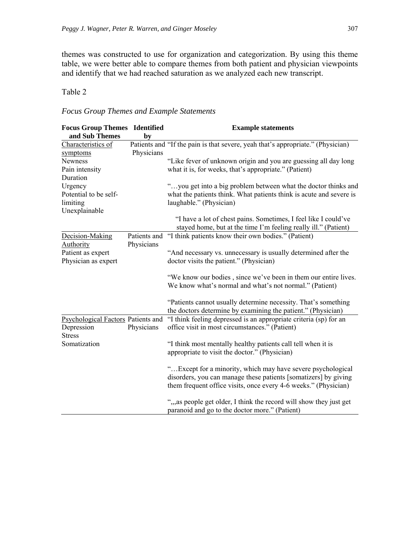themes was constructed to use for organization and categorization. By using this theme table, we were better able to compare themes from both patient and physician viewpoints and identify that we had reached saturation as we analyzed each new transcript.

#### Table 2

#### *Focus Group Themes and Example Statements*

| <b>Focus Group Themes Identified</b><br>and Sub Themes            | by                         | <b>Example statements</b>                                                                                                                                                                          |
|-------------------------------------------------------------------|----------------------------|----------------------------------------------------------------------------------------------------------------------------------------------------------------------------------------------------|
| Characteristics of<br>symptoms                                    | Physicians                 | Patients and "If the pain is that severe, yeah that's appropriate." (Physician)                                                                                                                    |
| <b>Newness</b><br>Pain intensity<br>Duration                      |                            | "Like fever of unknown origin and you are guessing all day long<br>what it is, for weeks, that's appropriate." (Patient)                                                                           |
| Urgency<br>Potential to be self-<br>limiting<br>Unexplainable     |                            | "you get into a big problem between what the doctor thinks and<br>what the patients think. What patients think is acute and severe is<br>laughable." (Physician)                                   |
|                                                                   |                            | "I have a lot of chest pains. Sometimes, I feel like I could've<br>stayed home, but at the time I'm feeling really ill." (Patient)                                                                 |
| Decision-Making<br>Authority                                      | Patients and<br>Physicians | "I think patients know their own bodies." (Patient)                                                                                                                                                |
| Patient as expert<br>Physician as expert                          |                            | "And necessary vs. unnecessary is usually determined after the<br>doctor visits the patient." (Physician)                                                                                          |
|                                                                   |                            | "We know our bodies, since we've been in them our entire lives.<br>We know what's normal and what's not normal." (Patient)                                                                         |
|                                                                   |                            | "Patients cannot usually determine necessity. That's something<br>the doctors determine by examining the patient." (Physician)                                                                     |
| Psychological Factors Patients and<br>Depression<br><b>Stress</b> | Physicians                 | "I think feeling depressed is an appropriate criteria (sp) for an<br>office visit in most circumstances." (Patient)                                                                                |
| Somatization                                                      |                            | "I think most mentally healthy patients call tell when it is<br>appropriate to visit the doctor." (Physician)                                                                                      |
|                                                                   |                            | " Except for a minority, which may have severe psychological<br>disorders, you can manage these patients [somatizers] by giving<br>them frequent office visits, once every 4-6 weeks." (Physician) |
|                                                                   |                            | ", as people get older, I think the record will show they just get<br>paranoid and go to the doctor more." (Patient)                                                                               |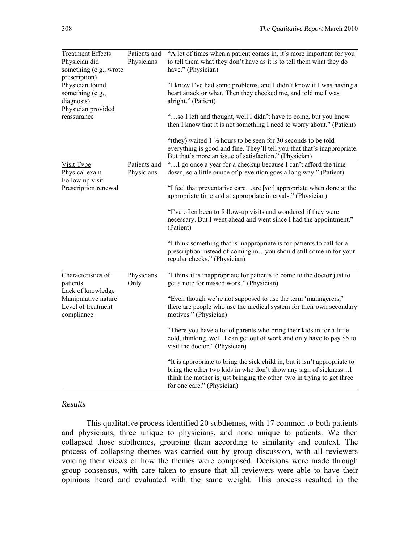| <b>Treatment Effects</b><br>Physician did<br>something (e.g., wrote                                     | Patients and<br>Physicians | "A lot of times when a patient comes in, it's more important for you<br>to tell them what they don't have as it is to tell them what they do<br>have." (Physician)                                                                                      |
|---------------------------------------------------------------------------------------------------------|----------------------------|---------------------------------------------------------------------------------------------------------------------------------------------------------------------------------------------------------------------------------------------------------|
| prescription)<br>Physician found<br>something (e.g.,<br>diagnosis)<br>Physician provided<br>reassurance |                            | "I know I've had some problems, and I didn't know if I was having a<br>heart attack or what. Then they checked me, and told me I was<br>alright." (Patient)                                                                                             |
|                                                                                                         |                            | "so I left and thought, well I didn't have to come, but you know<br>then I know that it is not something I need to worry about." (Patient)                                                                                                              |
|                                                                                                         |                            | "(they) waited $1\frac{1}{2}$ hours to be seen for 30 seconds to be told<br>everything is good and fine. They'll tell you that that's inappropriate.<br>But that's more an issue of satisfaction." (Physician)                                          |
| Visit Type<br>Physical exam<br>Follow up visit                                                          | Patients and<br>Physicians | "I go once a year for a checkup because I can't afford the time<br>down, so a little ounce of prevention goes a long way." (Patient)                                                                                                                    |
| Prescription renewal                                                                                    |                            | "I feel that preventative careare [ $sic$ ] appropriate when done at the<br>appropriate time and at appropriate intervals." (Physician)                                                                                                                 |
|                                                                                                         |                            | "I've often been to follow-up visits and wondered if they were<br>necessary. But I went ahead and went since I had the appointment."<br>(Patient)                                                                                                       |
|                                                                                                         |                            | "I think something that is inappropriate is for patients to call for a<br>prescription instead of coming inyou should still come in for your<br>regular checks." (Physician)                                                                            |
| Characteristics of<br>patients<br>Lack of knowledge                                                     | Physicians<br>Only         | "I think it is inappropriate for patients to come to the doctor just to<br>get a note for missed work." (Physician)                                                                                                                                     |
| Manipulative nature<br>Level of treatment<br>compliance                                                 |                            | "Even though we're not supposed to use the term 'malingerers,'<br>there are people who use the medical system for their own secondary<br>motives." (Physician)                                                                                          |
|                                                                                                         |                            | "There you have a lot of parents who bring their kids in for a little<br>cold, thinking, well, I can get out of work and only have to pay \$5 to<br>visit the doctor." (Physician)                                                                      |
|                                                                                                         |                            | "It is appropriate to bring the sick child in, but it isn't appropriate to<br>bring the other two kids in who don't show any sign of sickness I<br>think the mother is just bringing the other two in trying to get three<br>for one care." (Physician) |

#### *Results*

This qualitative process identified 20 subthemes, with 17 common to both patients and physicians, three unique to physicians, and none unique to patients. We then collapsed those subthemes, grouping them according to similarity and context. The process of collapsing themes was carried out by group discussion, with all reviewers voicing their views of how the themes were composed. Decisions were made through group consensus, with care taken to ensure that all reviewers were able to have their opinions heard and evaluated with the same weight. This process resulted in the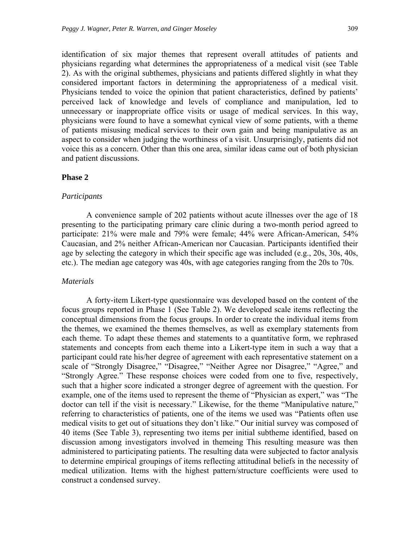identification of six major themes that represent overall attitudes of patients and physicians regarding what determines the appropriateness of a medical visit (see Table 2). As with the original subthemes, physicians and patients differed slightly in what they considered important factors in determining the appropriateness of a medical visit. Physicians tended to voice the opinion that patient characteristics, defined by patients' perceived lack of knowledge and levels of compliance and manipulation, led to unnecessary or inappropriate office visits or usage of medical services. In this way, physicians were found to have a somewhat cynical view of some patients, with a theme of patients misusing medical services to their own gain and being manipulative as an aspect to consider when judging the worthiness of a visit. Unsurprisingly, patients did not voice this as a concern. Other than this one area, similar ideas came out of both physician and patient discussions.

#### **Phase 2**

#### *Participants*

A convenience sample of 202 patients without acute illnesses over the age of 18 presenting to the participating primary care clinic during a two-month period agreed to participate: 21% were male and 79% were female; 44% were African-American, 54% Caucasian, and 2% neither African-American nor Caucasian. Participants identified their age by selecting the category in which their specific age was included (e.g., 20s, 30s, 40s, etc.). The median age category was 40s, with age categories ranging from the 20s to 70s.

#### *Materials*

A forty-item Likert-type questionnaire was developed based on the content of the focus groups reported in Phase 1 (See Table 2). We developed scale items reflecting the conceptual dimensions from the focus groups. In order to create the individual items from the themes, we examined the themes themselves, as well as exemplary statements from each theme. To adapt these themes and statements to a quantitative form, we rephrased statements and concepts from each theme into a Likert-type item in such a way that a participant could rate his/her degree of agreement with each representative statement on a scale of "Strongly Disagree," "Disagree," "Neither Agree nor Disagree," "Agree," and "Strongly Agree." These response choices were coded from one to five, respectively, such that a higher score indicated a stronger degree of agreement with the question. For example, one of the items used to represent the theme of "Physician as expert," was "The doctor can tell if the visit is necessary." Likewise, for the theme "Manipulative nature," referring to characteristics of patients, one of the items we used was "Patients often use medical visits to get out of situations they don't like." Our initial survey was composed of 40 items (See Table 3), representing two items per initial subtheme identified, based on discussion among investigators involved in themeing This resulting measure was then administered to participating patients. The resulting data were subjected to factor analysis to determine empirical groupings of items reflecting attitudinal beliefs in the necessity of medical utilization. Items with the highest pattern/structure coefficients were used to construct a condensed survey.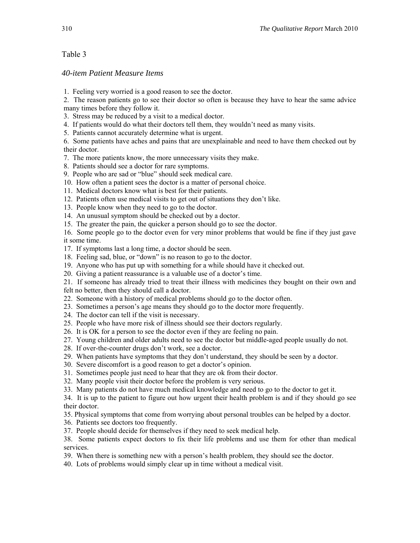#### Table 3

#### *40-item Patient Measure Items*

1. Feeling very worried is a good reason to see the doctor.

2. The reason patients go to see their doctor so often is because they have to hear the same advice many times before they follow it.

3. Stress may be reduced by a visit to a medical doctor.

4. If patients would do what their doctors tell them, they wouldn't need as many visits.

5. Patients cannot accurately determine what is urgent.

6. Some patients have aches and pains that are unexplainable and need to have them checked out by their doctor.

- 7. The more patients know, the more unnecessary visits they make.
- 8. Patients should see a doctor for rare symptoms.
- 9. People who are sad or "blue" should seek medical care.
- 10. How often a patient sees the doctor is a matter of personal choice.
- 11. Medical doctors know what is best for their patients.
- 12. Patients often use medical visits to get out of situations they don't like.
- 13. People know when they need to go to the doctor.
- 14. An unusual symptom should be checked out by a doctor.
- 15. The greater the pain, the quicker a person should go to see the doctor.

16. Some people go to the doctor even for very minor problems that would be fine if they just gave it some time.

- 17. If symptoms last a long time, a doctor should be seen.
- 18. Feeling sad, blue, or "down" is no reason to go to the doctor.
- 19. Anyone who has put up with something for a while should have it checked out.
- 20. Giving a patient reassurance is a valuable use of a doctor's time.

21. If someone has already tried to treat their illness with medicines they bought on their own and

felt no better, then they should call a doctor.

- 22. Someone with a history of medical problems should go to the doctor often.
- 23. Sometimes a person's age means they should go to the doctor more frequently.
- 24. The doctor can tell if the visit is necessary.
- 25. People who have more risk of illness should see their doctors regularly.
- 26. It is OK for a person to see the doctor even if they are feeling no pain.
- 27. Young children and older adults need to see the doctor but middle-aged people usually do not.
- 28. If over-the-counter drugs don't work, see a doctor.
- 29. When patients have symptoms that they don't understand, they should be seen by a doctor.
- 30. Severe discomfort is a good reason to get a doctor's opinion.
- 31. Sometimes people just need to hear that they are ok from their doctor.
- 32. Many people visit their doctor before the problem is very serious.
- 33. Many patients do not have much medical knowledge and need to go to the doctor to get it.

34. It is up to the patient to figure out how urgent their health problem is and if they should go see their doctor.

35. Physical symptoms that come from worrying about personal troubles can be helped by a doctor.

- 36. Patients see doctors too frequently.
- 37. People should decide for themselves if they need to seek medical help.

38. Some patients expect doctors to fix their life problems and use them for other than medical services.

- 39. When there is something new with a person's health problem, they should see the doctor.
- 40. Lots of problems would simply clear up in time without a medical visit.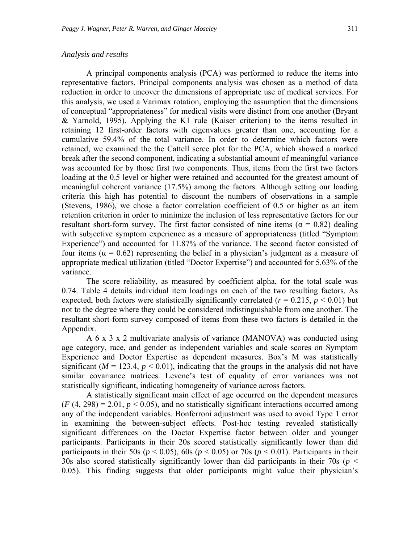#### *Analysis and results*

A principal components analysis (PCA) was performed to reduce the items into representative factors. Principal components analysis was chosen as a method of data reduction in order to uncover the dimensions of appropriate use of medical services. For this analysis, we used a Varimax rotation, employing the assumption that the dimensions of conceptual "appropriateness" for medical visits were distinct from one another (Bryant & Yarnold, 1995). Applying the K1 rule (Kaiser criterion) to the items resulted in retaining 12 first-order factors with eigenvalues greater than one, accounting for a cumulative 59.4% of the total variance. In order to determine which factors were retained, we examined the the Cattell scree plot for the PCA, which showed a marked break after the second component, indicating a substantial amount of meaningful variance was accounted for by those first two components. Thus, items from the first two factors loading at the 0.5 level or higher were retained and accounted for the greatest amount of meaningful coherent variance (17.5%) among the factors. Although setting our loading criteria this high has potential to discount the numbers of observations in a sample (Stevens, 1986), we chose a factor correlation coefficient of 0.5 or higher as an item retention criterion in order to minimize the inclusion of less representative factors for our resultant short-form survey. The first factor consisted of nine items ( $\alpha = 0.82$ ) dealing with subjective symptom experience as a measure of appropriateness (titled "Symptom Experience") and accounted for 11.87% of the variance. The second factor consisted of four items (α = 0.62) representing the belief in a physician's judgment as a measure of appropriate medical utilization (titled "Doctor Expertise") and accounted for 5.63% of the variance.

The score reliability, as measured by coefficient alpha, for the total scale was 0.74. Table 4 details individual item loadings on each of the two resulting factors. As expected, both factors were statistically significantly correlated ( $r = 0.215$ ,  $p < 0.01$ ) but not to the degree where they could be considered indistinguishable from one another. The resultant short-form survey composed of items from these two factors is detailed in the Appendix.

A 6 x 3 x 2 multivariate analysis of variance (MANOVA) was conducted using age category, race, and gender as independent variables and scale scores on Symptom Experience and Doctor Expertise as dependent measures. Box's M was statistically significant ( $M = 123.4$ ,  $p < 0.01$ ), indicating that the groups in the analysis did not have similar covariance matrices. Levene's test of equality of error variances was not statistically significant, indicating homogeneity of variance across factors.

A statistically significant main effect of age occurred on the dependent measures  $(F(4, 298) = 2.01, p < 0.05)$ , and no statistically significant interactions occurred among any of the independent variables. Bonferroni adjustment was used to avoid Type 1 error in examining the between-subject effects. Post-hoc testing revealed statistically significant differences on the Doctor Expertise factor between older and younger participants. Participants in their 20s scored statistically significantly lower than did participants in their 50s ( $p < 0.05$ ), 60s ( $p < 0.05$ ) or 70s ( $p < 0.01$ ). Participants in their 30s also scored statistically significantly lower than did participants in their 70s (*p* < 0.05). This finding suggests that older participants might value their physician's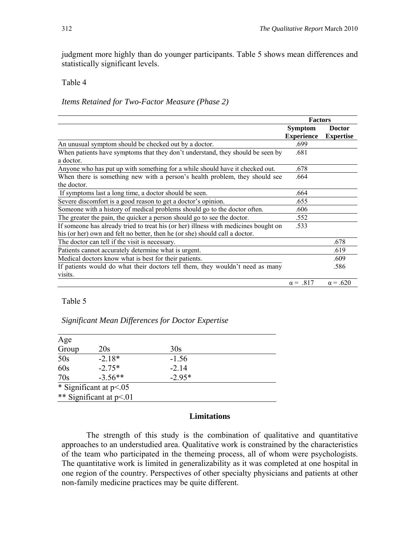judgment more highly than do younger participants. Table 5 shows mean differences and statistically significant levels.

#### Table 4

#### *Items Retained for Two-Factor Measure (Phase 2)*

|                                                                                                                                                                    | <b>Factors</b>                      |                                   |
|--------------------------------------------------------------------------------------------------------------------------------------------------------------------|-------------------------------------|-----------------------------------|
|                                                                                                                                                                    | <b>Symptom</b><br><b>Experience</b> | <b>Doctor</b><br><b>Expertise</b> |
| An unusual symptom should be checked out by a doctor.                                                                                                              | .699                                |                                   |
| When patients have symptoms that they don't understand, they should be seen by<br>a doctor.                                                                        | .681                                |                                   |
| Anyone who has put up with something for a while should have it checked out.                                                                                       | .678                                |                                   |
| When there is something new with a person's health problem, they should see<br>the doctor.                                                                         | .664                                |                                   |
| If symptoms last a long time, a doctor should be seen.                                                                                                             | .664                                |                                   |
| Severe discomfort is a good reason to get a doctor's opinion.                                                                                                      | .655                                |                                   |
| Someone with a history of medical problems should go to the doctor often.                                                                                          | .606                                |                                   |
| The greater the pain, the quicker a person should go to see the doctor.                                                                                            | .552                                |                                   |
| If someone has already tried to treat his (or her) illness with medicines bought on<br>his (or her) own and felt no better, then he (or she) should call a doctor. | .533                                |                                   |
| The doctor can tell if the visit is necessary.                                                                                                                     |                                     | .678                              |
| Patients cannot accurately determine what is urgent.                                                                                                               |                                     | .619                              |
| Medical doctors know what is best for their patients.                                                                                                              |                                     | .609                              |
| If patients would do what their doctors tell them, they wouldn't need as many<br>visits.                                                                           |                                     | .586                              |
|                                                                                                                                                                    | $\alpha = .817$                     | $\alpha = .620$                   |

#### Table 5

### *Significant Mean Differences for Doctor Expertise*

| Age   |                           |          |  |
|-------|---------------------------|----------|--|
| Group | 20s                       | 30s      |  |
| 50s   | $-2.18*$                  | $-1.56$  |  |
| 60s   | $-2.75*$                  | $-2.14$  |  |
| 70s   | $-3.56**$                 | $-2.95*$ |  |
|       | * Significant at $p<0.05$ |          |  |
|       | ** Significant at p<.01   |          |  |

#### **Limitations**

The strength of this study is the combination of qualitative and quantitative approaches to an understudied area. Qualitative work is constrained by the characteristics of the team who participated in the themeing process, all of whom were psychologists. The quantitative work is limited in generalizability as it was completed at one hospital in one region of the country. Perspectives of other specialty physicians and patients at other non-family medicine practices may be quite different.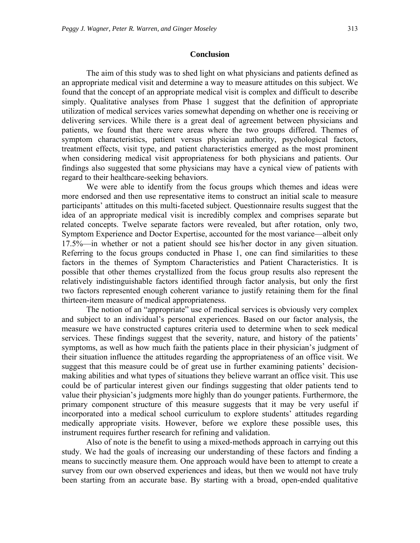#### **Conclusion**

The aim of this study was to shed light on what physicians and patients defined as an appropriate medical visit and determine a way to measure attitudes on this subject. We found that the concept of an appropriate medical visit is complex and difficult to describe simply. Qualitative analyses from Phase 1 suggest that the definition of appropriate utilization of medical services varies somewhat depending on whether one is receiving or delivering services. While there is a great deal of agreement between physicians and patients, we found that there were areas where the two groups differed. Themes of symptom characteristics, patient versus physician authority, psychological factors, treatment effects, visit type, and patient characteristics emerged as the most prominent when considering medical visit appropriateness for both physicians and patients. Our findings also suggested that some physicians may have a cynical view of patients with regard to their healthcare-seeking behaviors.

 We were able to identify from the focus groups which themes and ideas were more endorsed and then use representative items to construct an initial scale to measure participants' attitudes on this multi-faceted subject. Questionnaire results suggest that the idea of an appropriate medical visit is incredibly complex and comprises separate but related concepts. Twelve separate factors were revealed, but after rotation, only two, Symptom Experience and Doctor Expertise, accounted for the most variance—albeit only 17.5%—in whether or not a patient should see his/her doctor in any given situation. Referring to the focus groups conducted in Phase 1, one can find similarities to these factors in the themes of Symptom Characteristics and Patient Characteristics. It is possible that other themes crystallized from the focus group results also represent the relatively indistinguishable factors identified through factor analysis, but only the first two factors represented enough coherent variance to justify retaining them for the final thirteen-item measure of medical appropriateness.

The notion of an "appropriate" use of medical services is obviously very complex and subject to an individual's personal experiences. Based on our factor analysis, the measure we have constructed captures criteria used to determine when to seek medical services. These findings suggest that the severity, nature, and history of the patients' symptoms, as well as how much faith the patients place in their physician's judgment of their situation influence the attitudes regarding the appropriateness of an office visit. We suggest that this measure could be of great use in further examining patients' decisionmaking abilities and what types of situations they believe warrant an office visit. This use could be of particular interest given our findings suggesting that older patients tend to value their physician's judgments more highly than do younger patients. Furthermore, the primary component structure of this measure suggests that it may be very useful if incorporated into a medical school curriculum to explore students' attitudes regarding medically appropriate visits. However, before we explore these possible uses, this instrument requires further research for refining and validation.

Also of note is the benefit to using a mixed-methods approach in carrying out this study. We had the goals of increasing our understanding of these factors and finding a means to succinctly measure them. One approach would have been to attempt to create a survey from our own observed experiences and ideas, but then we would not have truly been starting from an accurate base. By starting with a broad, open-ended qualitative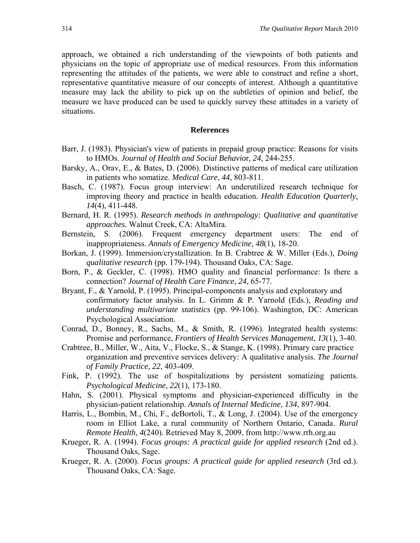approach, we obtained a rich understanding of the viewpoints of both patients and physicians on the topic of appropriate use of medical resources. From this information representing the attitudes of the patients, we were able to construct and refine a short, representative quantitative measure of our concepts of interest. Although a quantitative measure may lack the ability to pick up on the subtleties of opinion and belief, the measure we have produced can be used to quickly survey these attitudes in a variety of situations.

#### **References**

- Barr, J. (1983). Physician's view of patients in prepaid group practice: Reasons for visits to HMOs. *Journal of Health and Social Behavio*r, *24*, 244-255.
- Barsky, A., Orav, E., & Bates, D. (2006). Distinctive patterns of medical care utilization in patients who somatize. *Medical Care*, *44*, 803-811.
- Basch, C. (1987). Focus group interview: An underutilized research technique for improving theory and practice in health education. *Health Education Quarterly, 14*(4), 411-448.
- Bernard, H. R. (1995). *Research methods in anthropology: Qualitative and quantitative approaches.* Walnut Creek, CA: AltaMira.
- Bernstein, S. (2006). Frequent emergency department users: The end of inappropriateness. *Annals of Emergency Medicine*, *48*(1), 18-20.
- Borkan, J. (1999). Immersion/crystallization. In B. Crabtree & W. Miller (Eds.), *Doing qualitative research* (pp. 179-194). Thousand Oaks, CA: Sage.
- Born, P., & Geckler, C. (1998). HMO quality and financial performance: Is there a connection? *Journal of Health Care Finance*, *24*, 65-77.
- Bryant, F., & Yarnold, P. (1995). Principal-components analysis and exploratory and confirmatory factor analysis. In L. Grimm & P. Yarnold (Eds.), *Reading and understanding multivariate statistics* (pp. 99-106). Washington, DC: American Psychological Association.
- Conrad, D., Bonney, R., Sachs, M., & Smith, R. (1996). Integrated health systems: Promise and performance, *Frontiers of Health Services Management*, *13*(1), 3-40.
- Crabtree, B., Miller, W., Aita, V., Flocke, S., & Stange, K. (1998). Primary care practice organization and preventive services delivery: A qualitative analysis. *The Journal of Family Practice, 22*, 403-409.
- Fink, P. (1992). The use of hospitalizations by persistent somatizing patients. *Psychological Medicine*, *22*(1), 173-180.
- Hahn, S. (2001). Physical symptoms and physician-experienced difficulty in the physician-patient relationship. *Annals of Internal Medicine*, *134*, 897-904.
- Harris, L., Bombin, M., Chi, F., deBortoli, T., & Long, J. (2004). Use of the emergency room in Elliot Lake, a rural community of Northern Ontario, Canada. *Rural Remote Health*, *4*(240). Retrieved May 8, 2009, from http://www.rrh.org.au
- Krueger, R. A. (1994). *Focus groups: A practical guide for applied research* (2nd ed.). Thousand Oaks, Sage.
- Krueger, R. A. (2000). *Focus groups: A practical guide for applied research* (3rd ed.). Thousand Oaks, CA: Sage.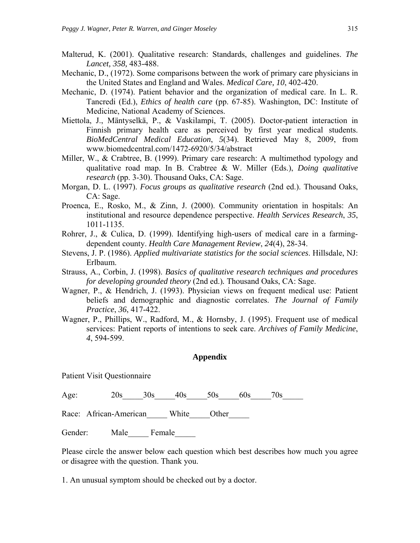- Malterud, K. (2001). Qualitative research: Standards, challenges and guidelines. *The Lancet, 358,* 483-488.
- Mechanic, D., (1972). Some comparisons between the work of primary care physicians in the United States and England and Wales. *Medical Care, 10*, 402-420.
- Mechanic, D. (1974). Patient behavior and the organization of medical care. In L. R. Tancredi (Ed.), *Ethics of health care* (pp. 67-85). Washington, DC: Institute of Medicine, National Academy of Sciences.
- Miettola, J., Mäntyselkä, P., & Vaskilampi, T. (2005). Doctor-patient interaction in Finnish primary health care as perceived by first year medical students. *BioMedCentral Medical Education*, *5*(34). Retrieved May 8, 2009, from www.biomedcentral.com/1472-6920/5/34/abstract
- Miller, W., & Crabtree, B. (1999). Primary care research: A multimethod typology and qualitative road map. In B. Crabtree & W. Miller (Eds.), *Doing qualitative research* (pp. 3-30). Thousand Oaks, CA: Sage.
- Morgan, D. L. (1997). *Focus groups as qualitative research* (2nd ed.). Thousand Oaks, CA: Sage.
- Proenca, E., Rosko, M., & Zinn, J. (2000). Community orientation in hospitals: An institutional and resource dependence perspective. *Health Services Research*, *35*, 1011-1135.
- Rohrer, J., & Culica, D. (1999). Identifying high-users of medical care in a farmingdependent county. *Health Care Management Review*, *24*(4), 28-34.
- Stevens, J. P. (1986). *Applied multivariate statistics for the social sciences*. Hillsdale, NJ: Erlbaum.
- Strauss, A., Corbin, J. (1998). *Basics of qualitative research techniques and procedures for developing grounded theory* (2nd ed.)*.* Thousand Oaks, CA: Sage.
- Wagner, P., & Hendrich, J. (1993). Physician views on frequent medical use: Patient beliefs and demographic and diagnostic correlates. *The Journal of Family Practice*, *36*, 417-422.
- Wagner, P., Phillips, W., Radford, M., & Hornsby, J. (1995). Frequent use of medical services: Patient reports of intentions to seek care. *Archives of Family Medicine*, *4*, 594-599.

#### **Appendix**

Patient Visit Questionnaire

Age: 20s 30s 40s 50s 60s 70s

Race: African-American White Other

Gender: Male Female

Please circle the answer below each question which best describes how much you agree or disagree with the question. Thank you.

1. An unusual symptom should be checked out by a doctor.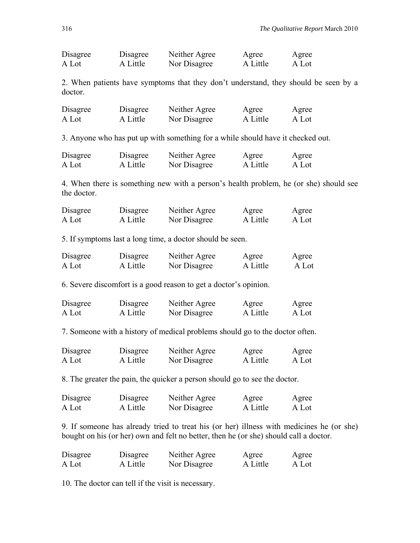| Disagree | Disagree | Neither Agree | Agree    | Agree |
|----------|----------|---------------|----------|-------|
| A Lot    | A Little | Nor Disagree  | A Little | A Lot |

2. When patients have symptoms that they don't understand, they should be seen by a doctor.

| Disagree | Disagree | Neither Agree | Agree    | Agree |
|----------|----------|---------------|----------|-------|
| A Lot    | A Little | Nor Disagree  | A Little | A Lot |

3. Anyone who has put up with something for a while should have it checked out.

| Disagree | Disagree | Neither Agree | Agree    | Agree |
|----------|----------|---------------|----------|-------|
| A Lot    | A Little | Nor Disagree  | A Little | A Lot |

4. When there is something new with a person's health problem, he (or she) should see the doctor.

| Disagree | Disagree | Neither Agree | Agree    | Agree |
|----------|----------|---------------|----------|-------|
| A Lot    | A Little | Nor Disagree  | A Little | A Lot |

5. If symptoms last a long time, a doctor should be seen.

| Disagree | Disagree | Neither Agree | Agree    | Agree |
|----------|----------|---------------|----------|-------|
| A Lot    | A Little | Nor Disagree  | A Little | A Lot |

6. Severe discomfort is a good reason to get a doctor's opinion.

| Disagree | Disagree | Neither Agree | Agree    | Agree |
|----------|----------|---------------|----------|-------|
| A Lot    | A Little | Nor Disagree  | A Little | A Lot |

7. Someone with a history of medical problems should go to the doctor often.

| Disagree | Disagree | Neither Agree | Agree    | Agree |
|----------|----------|---------------|----------|-------|
| A Lot    | A Little | Nor Disagree  | A Little | A Lot |

8. The greater the pain, the quicker a person should go to see the doctor.

| Disagree | Disagree | Neither Agree | Agree    | Agree |
|----------|----------|---------------|----------|-------|
| A Lot    | A Little | Nor Disagree  | A Little | A Lot |

9. If someone has already tried to treat his (or her) illness with medicines he (or she) bought on his (or her) own and felt no better, then he (or she) should call a doctor.

| Disagree | Disagree | Neither Agree | Agree    | Agree |
|----------|----------|---------------|----------|-------|
| A Lot    | A Little | Nor Disagree  | A Little | A Lot |

10. The doctor can tell if the visit is necessary.